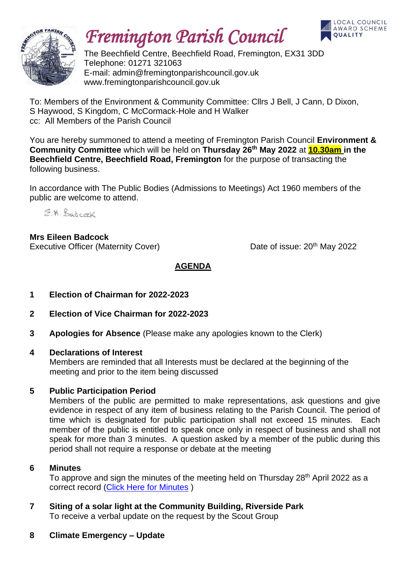

# *Fremington Parish Council*



The Beechfield Centre, Beechfield Road, Fremington, EX31 3DD Telephone: 01271 321063 E-mail: admin@fremingtonparishcouncil.gov.uk www.fremingtonparishcouncil.gov.uk

To: Members of the Environment & Community Committee: Cllrs J Bell, J Cann, D Dixon, S Haywood, S Kingdom, C McCormack-Hole and H Walker cc: All Members of the Parish Council

You are hereby summoned to attend a meeting of Fremington Parish Council **Environment & Community Committee** which will be held on **Thursday 26th May 2022** at **10.30am in the Beechfield Centre, Beechfield Road, Fremington** for the purpose of transacting the following business.

In accordance with The Public Bodies (Admissions to Meetings) Act 1960 members of the public are welcome to attend.

E.M. Badcock

**Mrs Eileen Badcock** Executive Officer (Maternity Cover) Date of issue: 20<sup>th</sup> May 2022

**AGENDA**

- **1 Election of Chairman for 2022-2023**
- **2 Election of Vice Chairman for 2022-2023**
- **3 Apologies for Absence** (Please make any apologies known to the Clerk)
- **4 Declarations of Interest**

Members are reminded that all Interests must be declared at the beginning of the meeting and prior to the item being discussed

### **5 Public Participation Period**

Members of the public are permitted to make representations, ask questions and give evidence in respect of any item of business relating to the Parish Council. The period of time which is designated for public participation shall not exceed 15 minutes. Each member of the public is entitled to speak once only in respect of business and shall not speak for more than 3 minutes. A question asked by a member of the public during this period shall not require a response or debate at the meeting

### **6 Minutes**

To approve and sign the minutes of the meeting held on Thursday 28<sup>th</sup> April 2022 as a correct record [\(Click Here for Minutes](https://www.fremingtonparishcouncil.gov.uk/meetings.php) )

- **7 Siting of a solar light at the Community Building, Riverside Park** To receive a verbal update on the request by the Scout Group
- **8 Climate Emergency – Update**